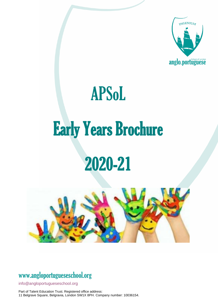

# APSoL Early Years Brochure 2020-21



### www[.angloportugueseschool.org](https://angloportugueseschool.org/)

[info@a](mailto:info@)ngloportugueseschool.org

Part of Talent Education Trust. Registered office address: 11 Belgrave Square, Belgravia, London SW1X 8PH. Company number: 10036154.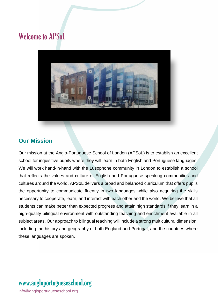### Welcome to APSoL



#### **Our Mission**

Our mission at the Anglo-Portuguese School of London (APSoL) is to establish an excellent school for inquisitive pupils where they will learn in both English and Portuguese languages. We will work hand-in-hand with the Lusophone community in London to establish a school that reflects the values and culture of English and Portuguese-speaking communities and cultures around the world. APSoL delivers a broad and balanced curriculum that offers pupils the opportunity to communicate fluently in two languages while also acquiring the skills necessary to cooperate, learn, and interact with each other and the world. We believe that all students can make better than expected progress and attain high standards if they learn in a high-quality bilingual environment with outstanding teaching and enrichment available in all subject areas. Our approach to bilingual teaching will include a strong multicultural dimension, including the history and geography of both England and Portugal, and the countries where these languages are spoken.

# www[.angloportugueseschool.org](https://angloportugueseschool.org/)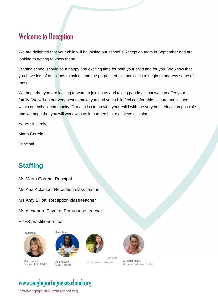### Welcome to Reception

We are delighted that your child will be joining our school's Reception team in September and are looking to getting to know them!

Starting school should be a happy and exciting time for both your child and for you. We know that you have lots of questions to ask us and the purpose of this booklet is to begin to address some of those.

We hope that you are looking forward to joining us and taking part in all that we can offer your family. We will do our very best to make you and your child feel comfortable, secure and valued within our school community. Our aim iss to provide your child with the very best education possible and we hope that you will work with us in partnership to achieve this aim.

Yours sincerely,

Marta Correia

Principal

### **Staffing**

Ms Marta Correia, Principal

Ms Aba Ackason, Reception class teacher

Ms Amy Elliott, Reception class teacher

Ms Alexandra Taveira, Portuguese teacher

EYFS practitioners tba





Marta Correia Principal, DSL, SENCO

Aba Ackason Class Teacher



Amy Elliott Class Teacher, September 2021



Alexandra Taveira Reception Portuguese Teacher

## www[.angloportugueseschool.org](https://angloportugueseschool.org/)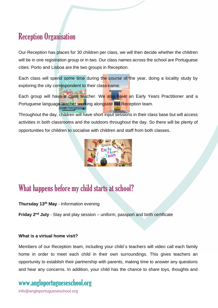### Reception Organisation

Our Reception has places for 30 children per class, we will then decide whether the children will be in one registration group or in two. Our class names across the school are Portuguese cities: Porto and Lisboa are the two groups in Reception.

Each class will spend some time during the course of the year, doing a locality study by exploring the city correspondent to their class name.

Each group will have a class teacher. We also have an Early Years Practitioner and a Portuguese language teacher working alongside the Reception team.

Throughout the day, children will have short input sessions in their class base but will access activities in both classrooms and the outdoors throughout the day. So there will be plenty of opportunities for children to socialise with children and staff from both classes.



### What happens before my child starts at school?

#### **Thursday 13th May** - Information evening

**Friday 2nd July** - Stay and play session – uniform, passport and birth certificate

#### **What is a virtual home visit?**

Members of our Reception team, including your child´s teachers will video call each family home in order to meet each child in their own surroundings. This gives teachers an opportunity to establish their partnership with parents, making time to answer any questions and hear any concerns. In addition, your child has the chance to share toys, thoughts and

# www[.angloportugueseschool.org](https://angloportugueseschool.org/)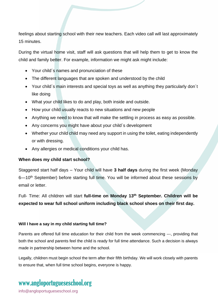feelings about starting school with their new teachers. Each video call will last approximately 15 minutes.

During the virtual home visit, staff will ask questions that will help them to get to know the child and family better. For example, information we might ask might include:

- Your child´s names and pronunciation of these
- The different languages that are spoken and understood by the child
- Your child´s main interests and special toys as well as anything they particularly don´t like doing
- What your child likes to do and play, both inside and outside.
- How your child usually reacts to new situations and new people
- Anything we need to know that will make the settling in process as easy as possible.
- Any concerns you might have about your child´s development
- Whether your child child may need any support in using the toilet, eating independently or with dressing.
- Any allergies or medical conditions your child has.

#### **When does my child start school?**

Staggered start half days – Your child will have **3 half days** during the first week (Monday 6—10<sup>th</sup> September) before starting full time. You will be informed about these sessions by email or letter.

Full- Time: All children will start **full-time on Monday 13th September. Children will be expected to wear full school uniform including black school shoes on their first day.** 

#### **Will I have a say in my child starting full time?**

Parents are offered full time education for their child from the week commencing ---, providing that both the school and parents feel the child is ready for full time attendance. Such a decision is always made in partnership between home and the school.

Legally, children must begin school the term after their fifth birthday. We will work closely with parents to ensure that, when full time school begins, everyone is happy.

### www[.angloportugueseschool.org](https://angloportugueseschool.org/)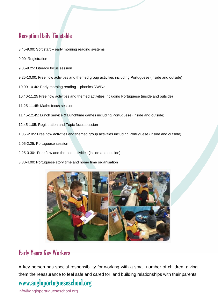### Reception Daily Timetable

- 8.45-9.00: Soft start early morning reading systems
- 9.00: Registration
- 9.05-9.25: Literacy focus session
- 9.25-10.00: Free flow activities and themed group activities including Portuguese (inside and outside)
- 10.00-10.40: Early morning reading phonics RWINc
- 10.40-11.25 Free flow activities and themed activities including Portuguese (inside and outside)
- 11.25-11.45: Maths focus session
- 11.45-12.45: Lunch service & Lunchtime games including Portuguese (inside and outside)
- 12.45-1.05: Registration and Topic focus session
- 1.05 -2.05: Free flow activities and themed group activities including Portuguese (inside and outside)
- 2.05-2.25: Portuguese session
- 2.25-3.30: Free flow and themed activities (inside and outside)
- 3.30-4.00: Portuguese story time and home time organisation



### Early Years Key Workers

A key person has special responsibility for working with a small number of children, giving them the reassurance to feel safe and cared for, and building relationships with their parents.

### www[.angloportugueseschool.org](https://angloportugueseschool.org/)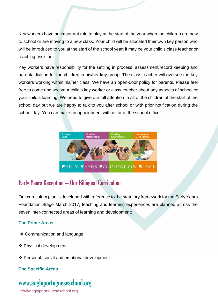Key workers have an important role to play at the start of the year when the children are new to school or are moving to a new class. Your child will be allocated their own key person who will be introduced to you at the start of the school year; it may be your child's class teacher or teaching assistant.

Key workers have responsibility for the settling in process, assessment/record keeping and parental liaison for the children in his/her key group. The class teacher will oversee the key workers working within his/her class. We have an open-door policy for parents. Please feel free to come and see your child's key worker or class teacher about any aspects of school or your child's learning. We need to give our full attention to all of the children at the start of the school day but we are happy to talk to you after school or with prior notification during the school day. You can make an appointment with us or at the school office.



### Early Years Reception – Our Bilingual Curriculum

Our curriculum plan is developed with reference to the statutory framework for the Early Years Foundation Stage March 2017, teaching and learning experiences are planned across the seven inter-connected areas of learning and development:

#### **The Prime Areas**

- ❖ Communication and language
- ❖ Physical development
- ❖ Personal, social and emotional development

#### **The Specific Areas**

### www[.angloportugueseschool.org](https://angloportugueseschool.org/)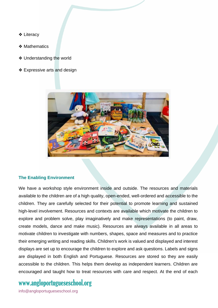- ❖ Literacy
- ❖ Mathematics
- ❖ Understanding the world
- ❖ Expressive arts and design



#### **The Enabling Environment**

We have a workshop style environment inside and outside. The resources and materials available to the children are of a high quality, open-ended, well-ordered and accessible to the children. They are carefully selected for their potential to promote learning and sustained high-level involvement. Resources and contexts are available which motivate the children to explore and problem solve, play imaginatively and make representations (to paint, draw, create models, dance and make music). Resources are always available in all areas to motivate children to investigate with numbers, shapes, space and measures and to practice their emerging writing and reading skills. Children's work is valued and displayed and interest displays are set up to encourage the children to explore and ask questions. Labels and signs are displayed in both English and Portuguese. Resources are stored so they are easily accessible to the children. This helps them develop as independent learners. Children are encouraged and taught how to treat resources with care and respect. At the end of each

### www[.angloportugueseschool.org](https://angloportugueseschool.org/)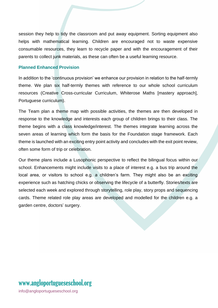session they help to tidy the classroom and put away equipment. Sorting equipment also helps with mathematical learning. Children are encouraged not to waste expensive consumable resources, they learn to recycle paper and with the encouragement of their parents to collect junk materials, as these can often be a useful learning resource.

#### **Planned Enhanced Provision**

In addition to the 'continuous provision' we enhance our provision in relation to the half-termly theme. We plan six half-termly themes with reference to our whole school curriculum resources (Creative Cross-curricular Curriculum, Whiterose Maths [mastery approach], Portuguese curriculum).

The Team plan a theme map with possible activities, the themes are then developed in response to the knowledge and interests each group of children brings to their class. The theme begins with a class knowledge/interest. The themes integrate learning across the seven areas of learning which form the basis for the Foundation stage framework. Each theme is launched with an exciting entry point activity and concludes with the exit point review, often some form of trip or celebration.

Our theme plans include a Lusophonic perspective to reflect the bilingual focus within our school. Enhancements might include visits to a place of interest e.g. a bus trip around the local area, or visitors to school e.g. a children's farm. They might also be an exciting experience such as hatching chicks or observing the lifecycle of a butterfly. Stories/texts are selected each week and explored through storytelling, role play, story props and sequencing cards. Theme related role play areas are developed and modelled for the children e.g. a garden centre, doctors' surgery.

# www[.angloportugueseschool.org](https://angloportugueseschool.org/)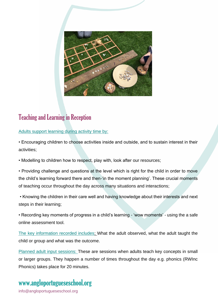

### Teaching and Learning in Reception

#### Adults support learning during activity time by:

• Encouraging children to choose activities inside and outside, and to sustain interest in their activities;

• Modelling to children how to respect, play with, look after our resources;

• Providing challenge and questions at the level which is right for the child in order to move the child's learning forward there and then-'in the moment planning'. These crucial moments of teaching occur throughout the day across many situations and interactions;

• Knowing the children in their care well and having knowledge about their interests and next steps in their learning;

• Recording key moments of progress in a child's learning - 'wow moments' - using the a safe online assessment tool.

The key information recorded includes; What the adult observed, what the adult taught the child or group and what was the outcome.

Planned adult input sessions: These are sessions when adults teach key concepts in small or larger groups. They happen a number of times throughout the day e.g. phonics (RWInc Phonics) takes place for 20 minutes.

### www[.angloportugueseschool.org](https://angloportugueseschool.org/)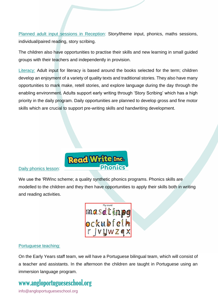Planned adult input sessions in Reception: Story/theme input, phonics, maths sessions, individual/paired reading, story scribing.

The children also have opportunities to practise their skills and new learning in small guided groups with their teachers and independently in provision.

Literacy: Adult input for literacy is based around the books selected for the term; children develop an enjoyment of a variety of quality texts and traditional stories. They also have many opportunities to mark make, retell stories, and explore language during the day through the enabling environment. Adults support early writing through 'Story Scribing' which has a high priority in the daily program. Daily opportunities are planned to develop gross and fine motor skills which are crucial to support pre-writing skills and handwriting development.



#### Daily phonics lesson:

We use the 'RWInc scheme; a quality synthetic phonics programs. Phonics skills are modelled to the children and they then have opportunities to apply their skills both in writing and reading activities.



#### Portuguese teaching:

On the Early Years staff team, we will have a Portuguese bilingual team, which will consist of a teacher and assistants. In the afternoon the children are taught in Portuguese using an immersion language program.

### www[.angloportugueseschool.org](https://angloportugueseschool.org/)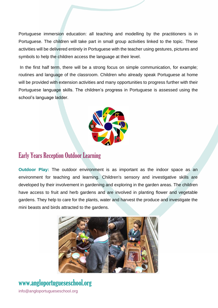Portuguese immersion education: all teaching and modelling by the practitioners is in Portuguese. The children will take part in small group activities linked to the topic. These activities will be delivered entirely in Portuguese with the teacher using gestures, pictures and symbols to help the children access the language at their level.

In the first half term, there will be a strong focus on simple communication, for example; routines and language of the classroom. Children who already speak Portuguese at home will be provided with extension activities and many opportunities to progress further with their Portuguese language skills. The children's progress in Portuguese is assessed using the school's language ladder.



#### Early Years Reception Outdoor Learning

**Outdoor Play:** The outdoor environment is as important as the indoor space as an environment for teaching and learning. Children's sensory and investigative skills are developed by their involvement in gardening and exploring in the garden areas. The children have access to fruit and herb gardens and are involved in planting flower and vegetable gardens. They help to care for the plants, water and harvest the produce and investigate the mini beasts and birds attracted to the gardens.



# www[.angloportugueseschool.org](https://angloportugueseschool.org/)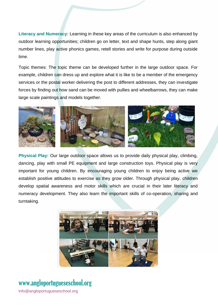**Literacy and Numeracy:** Learning in these key areas of the curriculum is also enhanced by outdoor learning opportunities; children go on letter, text and shape hunts, step along giant number lines, play active phonics games, retell stories and write for purpose during outside time.

Topic themes: The topic theme can be developed further in the large outdoor space. For example, children can dress up and explore what it is like to be a member of the emergency services or the postal worker delivering the post to different addresses, they can investigate forces by finding out how sand can be moved with pullies and wheelbarrows, they can make large scale paintings and models together.



**Physical Play:** Our large outdoor space allows us to provide daily physical play, climbing, dancing, play with small PE equipment and large construction toys. Physical play is very important for young children. By encouraging young children to enjoy being active we establish positive attitudes to exercise as they grow older. Through physical play, children develop spatial awareness and motor skills which are crucial in their later literacy and numeracy development. They also learn the important skills of co-operation, sharing and turntaking.



### www[.angloportugueseschool.org](https://angloportugueseschool.org/)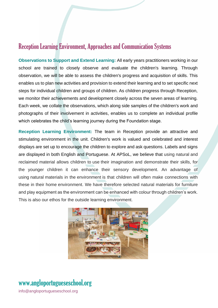#### Reception Learning Environment, Approaches and Communication Systems

**Observations to Support and Extend Learning:** All early years practitioners working in our school are trained to closely observe and evaluate the children's learning. Through observation, we will be able to assess the children's progress and acquisition of skills. This enables us to plan new activities and provision to extend their learning and to set specific next steps for individual children and groups of children. As children progress through Reception, we monitor their achievements and development closely across the seven areas of learning. Each week, we collate the observations, which along side samples of the children's work and photographs of their involvement in activities, enables us to complete an individual profile which celebrates the child's learning journey during the Foundation stage.

**Reception Learning Environment:** The team in Reception provide an attractive and stimulating environment in the unit. Children's work is valued and celebrated and interest displays are set up to encourage the children to explore and ask questions. Labels and signs are displayed in both English and Portuguese. At APSoL, we believe that using natural and reclaimed material allows children to use their imagination and demonstrate their skills, for the younger children it can enhance their sensory development. An advantage of using natural materials in the environment is that children will often make connections with these in their home environment. We have therefore selected natural materials for furniture and play equipment as the environment can be enhanced with colour through children's work. This is also our ethos for the outside learning environment.



### www[.angloportugueseschool.org](https://angloportugueseschool.org/)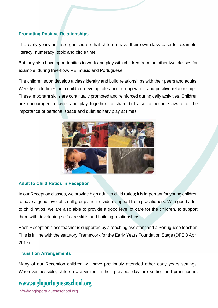#### **Promoting Positive Relationships**

The early years unit is organised so that children have their own class base for example: literacy, numeracy, topic and circle time.

But they also have opportunities to work and play with children from the other two classes for example: during free-flow, PE, music and Portuguese.

The children soon develop a class identity and build relationships with their peers and adults. Weekly circle times help children develop tolerance, co-operation and positive relationships. These important skills are continually promoted and reinforced during daily activities. Children are encouraged to work and play together, to share but also to become aware of the importance of personal space and quiet solitary play at times.



#### **Adult to Child Ratios in Reception**

In our Reception classes, we provide high adult to child ratios; it is important for young children to have a good level of small group and individual support from practitioners. With good adult to child ratios, we are also able to provide a good level of care for the children, to support them with developing self care skills and building relationships.

Each Reception class teacher is supported by a teaching assistant and a Portuguese teacher. This is in line with the statutory Framework for the Early Years Foundation Stage (DFE 3 April 2017).

#### **Transition Arrangements**

Many of our Reception children will have previously attended other early years settings. Wherever possible, children are visited in their previous daycare setting and practitioners

### www[.angloportugueseschool.org](https://angloportugueseschool.org/)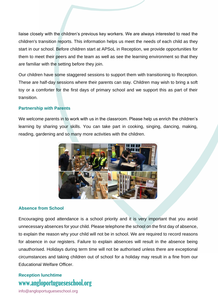liaise closely with the children's previous key workers. We are always interested to read the children's transition reports. This information helps us meet the needs of each child as they start in our school. Before children start at APSoL in Reception, we provide opportunities for them to meet their peers and the team as well as see the learning environment so that they are familiar with the setting before they join.

Our children have some staggered sessions to support them with transitioning to Reception. These are half-day sessions where their parents can stay. Children may wish to bring a soft toy or a comforter for the first days of primary school and we support this as part of their transition.

#### **Partnership with Parents**

We welcome parents in to work with us in the classroom. Please help us enrich the children's learning by sharing your skills. You can take part in cooking, singing, dancing, making, reading, gardening and so many more activities with the children.



#### **Absence from School**

Encouraging good attendance is a school priority and it is very important that you avoid unnecessary absences for your child. Please telephone the school on the first day of absence, to explain the reason why your child will not be in school. We are required to record reasons for absence in our registers. Failure to explain absences will result in the absence being unauthorised. Holidays during term time will not be authorised unless there are exceptional circumstances and taking children out of school for a holiday may result in a fine from our Educational Welfare Officer.

#### www[.angloportugueseschool.org](https://angloportugueseschool.org/) **Reception lunchtime**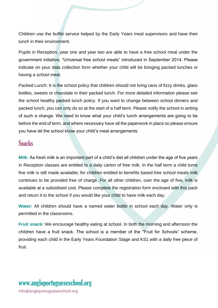Children use the buffet service helped by the Early Years meal supervisors and have their lunch in their environment.

Pupils in Reception, year one and year two are able to have a free school meal under the government initiative, "Universal free school meals" introduced in September 2014. Please indicate on your data collection form whether your child will be bringing packed lunches or having a school meal.

Packed Lunch: It is the school policy that children should not bring cans of fizzy drinks, glass bottles, sweets or chocolate in their packed lunch. For more detailed information please see the school healthy packed lunch policy. If you want to change between school dinners and packed lunch, you can only do so at the start of a half term. Please notify the school in writing of such a change. We need to know what your child's lunch arrangements are going to be before the end of term, and where necessary have all the paperwork in place so please ensure you have let the school know your child's meal arrangements.

#### **Snacks**

**Milk:** As fresh milk is an important part of a child's diet all children under the age of five years in Reception classes are entitled to a daily carton of free milk. In the half term a child turns five milk is still made available; for children entitled to benefits based free school meals milk continues to be provided free of charge. For all other children, over the age of five, milk is available at a subsidised cost. Please complete the registration form enclosed with this pack and return it to the school if you would like your child to have milk each day.

**Water:** All children should have a named water bottle in school each day. Water only is permitted in the classrooms.

**Fruit snack:** We encourage healthy eating at school. In both the morning and afternoon the children have a fruit snack. The school is a member of the "Fruit for Schools" scheme, providing each child in the Early Years Foundation Stage and KS1 with a daily free piece of fruit.

# www[.angloportugueseschool.org](https://angloportugueseschool.org/)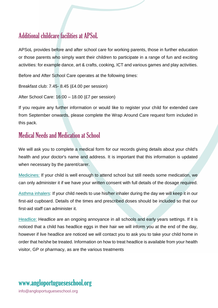### Additional childcare facilities at APSoL

APSoL provides before and after school care for working parents, those in further education or those parents who simply want their children to participate in a range of fun and exciting activities: for example dance, art & crafts, cooking, ICT and various games and play activities.

Before and After School Care operates at the following times:

Breakfast club: 7.45- 8.45 (£4.00 per session)

After School Care: 16:00 – 18.00 (£7 per session)

If you require any further information or would like to register your child for extended care from September onwards, please complete the Wrap Around Care request form included in this pack.

### Medical Needs and Medication at School

We will ask you to complete a medical form for our records giving details about your child's health and your doctor's name and address. It is important that this information is updated when necessary by the parent/carer.

Medicines: If your child is well enough to attend school but still needs some medication, we can only administer it if we have your written consent with full details of the dosage required.

Asthma inhalers: If your child needs to use his/her inhaler during the day we will keep it in our first-aid cupboard. Details of the times and prescribed doses should be included so that our first-aid staff can administer it.

Headlice: Headlice are an ongoing annoyance in all schools and early years settings. If it is noticed that a child has headlice eggs in their hair we will inform you at the end of the day, however if live headlice are noticed we will contact you to ask you to take your child home in order that he/she be treated. Information on how to treat headlice is available from your health visitor, GP or pharmacy, as are the various treatments

# www[.angloportugueseschool.org](https://angloportugueseschool.org/)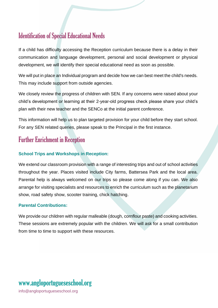### Identification of Special Educational Needs

If a child has difficulty accessing the Reception curriculum because there is a delay in their communication and language development, personal and social development or physical development, we will identify their special educational need as soon as possible.

We will put in place an Individual program and decide how we can best meet the child's needs. This may include support from outside agencies.

We closely review the progress of children with SEN. If any concerns were raised about your child's development or learning at their 2-year-old progress check please share your child's plan with their new teacher and the SENCo at the initial parent conference.

This information will help us to plan targeted provision for your child before they start school. For any SEN related queries, please speak to the Principal in the first instance.

### Further Enrichment in Reception

#### **School Trips and Workshops in Reception:**

We extend our classroom provision with a range of interesting trips and out of school activities throughout the year. Places visited include City farms, Battersea Park and the local area. Parental help is always welcomed on our trips so please come along if you can. We also arrange for visiting specialists and resources to enrich the curriculum such as the planetarium show, road safety show, scooter training, chick hatching.

#### **Parental Contributions:**

We provide our children with regular malleable (dough, cornflour paste) and cooking activities. These sessions are extremely popular with the children. We will ask for a small contribution from time to time to support with these resources.

#### www[.angloportugueseschool.org](https://angloportugueseschool.org/) [info@a](mailto:info@)ngloportugueseschool.org